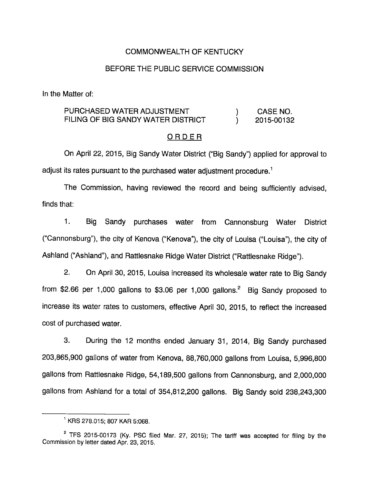### COMMONWEALTH OF KENTUCKY

#### BEFORE THE PUBLIC SERVICE COMMISSION

In the Matter of:

### PURCHASED WATER ADJUSTMENT (ADDITIONALLY) CASE NO. FILING OF BIG SANDY WATER DISTRICT ) 2015-00132

#### ORDER

On April 22, 2015, Big Sandy Water District ("Big Sandy") applied for approval to adjust its rates pursuant to the purchased water adjustment procedure.<sup>1</sup>

The Commission, having reviewed the record and being sufficiently advised, finds that:

1. Big Sandy purchases water from Cannonsburg Water District ("Cannonsburg"), the city of Kenova ("Kenova"), the city of Louisa ("Louisa"), the city of Ashland ("Ashland"), and Rattlesnake Ridge Water District ("Rattlesnake Ridge").

2. On April 30, 2015, Louisa increased its wholesale water rate to Big Sandy from \$2.66 per 1,000 gallons to \$3.06 per 1,000 gallons. $^2$  Big Sandy proposed to increase its water rates to customers, effective April 30, 2015, to reflect the increased cost of purchased water.

3. During the 12 months ended January 31, 2014, Big Sandy purchased 203,865,900 gallons of water from Kenova, 88,760,000 gallons from Louisa, 5,996,800 gallons from Rattlesnake Ridge, 54,189,500 gallons from Cannonsburg, and 2,000,000 gallons from Ashland for a total of 354,812,200 gallons. Big Sandy sold 238,243,300

 $^1$  KRS 278.015; 807 KAR 5:068.

 $2$  TFS 2015-00173 (Ky. PSC filed Mar. 27, 2015); The tariff was accepted for filing by the Commission by letter dated Apr. 23, 2015.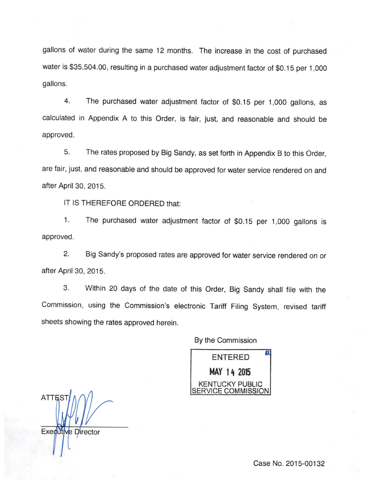gallons of water during the same 12 months. The increase in the cost of purchased water is \$35,504.00, resulting in a purchased water adjustment factor of \$0.15 per 1,000 gallons.

4. The purchased water adjustment factor of \$0.15 per 1,000 gallons, as calculated in Appendix A to this Order, is fair, just, and reasonable and should be approved.

5. The rates proposed by Big Sandy, as set forth in Appendix B to this Order, are fair, just, and reasonable and should be approved for water service rendered on and after April 30, 2015.

IT IS THEREFORE ORDERED that:

1. The purchased water adjustment factor of \$0.15 per 1,000 gallons is approved.

2. Big Sandy's proposed rates are approved for water service rendered on or after April 30, 2015.

3. Within 20 days of the date of this Order, Big Sandy shall file with the Commission, using the Commission's electronic Tariff Filing System, revised tariff sheets showing the rates approved herein.

By the Commission

ENTERED MAY 14 2015 m KENTUCKY PUBLIC SERVICE COMMISSION

**ATTES Executive Director** 

Case No. 2015-00132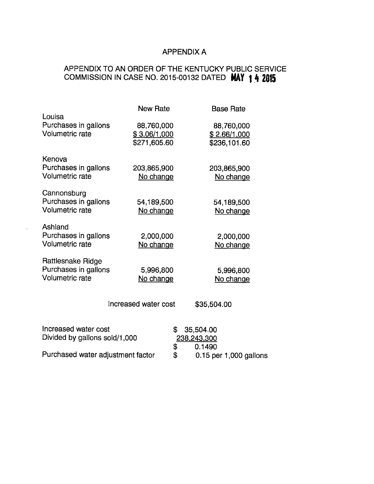# APPENDIX A

# APPENDIX TO AN ORDER OF THE KENTUCKY PUBLIC SERVICE COMMISSION IN CASE NO. 2015-00132 DATED MAY 14 2015

| Louisa                                                        | <b>New Rate</b>                            | <b>Base Rate</b>                           |
|---------------------------------------------------------------|--------------------------------------------|--------------------------------------------|
| Purchases in gallons<br><b>Volumetric rate</b>                | 88,760,000<br>\$3.06/1,000<br>\$271,605.60 | 88,760,000<br>\$2.66/1,000<br>\$236,101.60 |
| Kenova<br>Purchases in gallons<br><b>Volumetric rate</b>      | 203,865,900<br>No change                   | 203,865,900<br>No change                   |
| Cannonsburg<br>Purchases in gallons<br><b>Volumetric rate</b> | 54,189,500<br>No change                    | 54,189,500<br>No change                    |
| Ashland<br>Purchases in gallons<br><b>Volumetric rate</b>     | 2,000,000<br>No change                     | 2,000,000<br>No change                     |
| Rattlesnake Ridge<br>Purchases in gallons<br>Volumetric rate  | 5,996,800<br>No change                     | 5,996,800<br>No change                     |
|                                                               | Increased water cost                       | \$35,504.00                                |
| Increased water cost<br>Divided by gallons sold/1,000         | \$<br>\$                                   | 35,504.00<br>238,243,300<br>0.1490         |
| Purchased water adjustment factor                             |                                            | 0.15 per 1,000 gallons                     |

 $\mathcal{L}$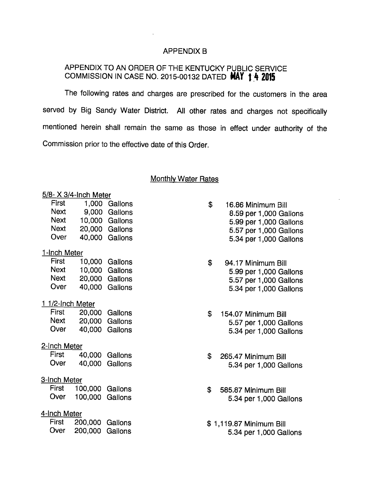#### APPENDIX B

## APPENDIX TO AN ORDER OF THE KENTUCKY PUBLIC SERVICE COMMISSION IN CASE NO. 2015-00132 DATED MAY 1 4 2015

The following rates and charges are prescribed for the customers in the area served by Big Sandy Water District. All other rates and charges not specifically mentioned herein shall remain the same as those in effect under authority of the Commission prior to the effective date of this Order.

## **Monthly Water Rates**

#### 5/8- X 3/4-Inch Meter

|                     | First |                       | 1,000 Gallons  |  |  |  |
|---------------------|-------|-----------------------|----------------|--|--|--|
|                     | Next  |                       | 9,000 Gallons  |  |  |  |
|                     |       | Next 10,000 Gallons   |                |  |  |  |
|                     | Next  |                       | 20,000 Gallons |  |  |  |
|                     | Over  |                       | 40,000 Gallons |  |  |  |
| 1-Inch Meter        |       |                       |                |  |  |  |
|                     | First |                       | 10,000 Gallons |  |  |  |
|                     |       | Next 10,000 Gallons   |                |  |  |  |
|                     |       | Next 20,000 Gallons   |                |  |  |  |
|                     | Over  |                       | 40,000 Gallons |  |  |  |
| 1 1/2-Inch Meter    |       |                       |                |  |  |  |
|                     | First |                       | 20,000 Gallons |  |  |  |
|                     |       | Next 20,000 Gallons   |                |  |  |  |
|                     |       | Over 40,000 Gallons   |                |  |  |  |
| 2-Inch Meter        |       |                       |                |  |  |  |
|                     |       | First 40,000 Gallons  |                |  |  |  |
|                     | Over  | 40,000                | Gallons        |  |  |  |
| <u>3-Inch Meter</u> |       |                       |                |  |  |  |
|                     |       | First 100,000 Gallons |                |  |  |  |
|                     | Over  | 100,000 Gallons       |                |  |  |  |
| <u>4-Inch Meter</u> |       |                       |                |  |  |  |
|                     |       | First 200,000 Gallons |                |  |  |  |
|                     |       | Over 200,000          | Gallons        |  |  |  |
|                     |       |                       |                |  |  |  |

- \$ 16.86 Minimum Bill 8.59 per 1,000 Gallons 5.99 per 1,000 Gallons 5.57 per 1,000 Gallons 5.34 per 1,000 Gallons
- \$ 94.17 Minimum Bill 5.99 per 1,000 Gallons 5.57 per 1,000 Gallons 5.34 per 1,000 Gallons
- \$ 154.07 Minimum Bill 5.57 per 1,000 Gallons 5.34 per 1,000 Gallons
- \$ 265.47 Minimum Bill 5.34 per 1,000 Gallons
- \$ 585.87 Minimum Bill 5.34 per 1,000 Gallons
- \$ 1,119.87 Minimum Bill 5.34 per 1,000 Gallons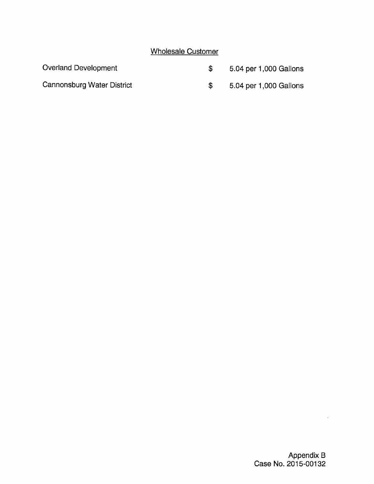# Wholesale Customer

| Overland Development       | 5.04 per 1,000 Gallons |
|----------------------------|------------------------|
| Cannonsburg Water District | 5.04 per 1,000 Gallons |

 $\hat{\boldsymbol{\epsilon}}$